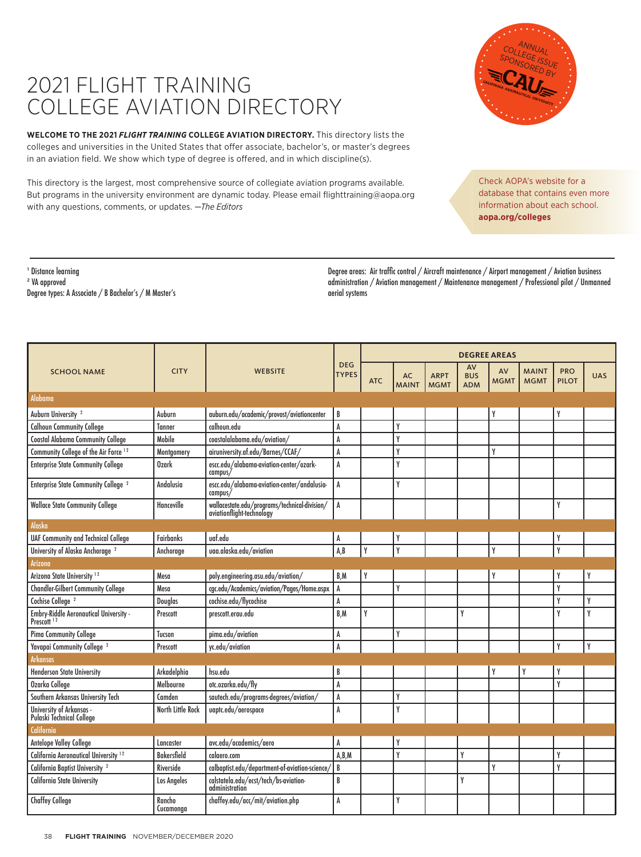## 2021 FLIGHT TRAINING COLLEGE AVIATION DIRECTORY

<sup>1</sup> Distance learning ² VA approved

Degree types: A Associate / B Bachelor's / M Master's

**WELCOME TO THE 2021** *FLIGHT TRAINING* **COLLEGE AVIATION DIRECTORY.** This directory lists the colleges and universities in the United States that offer associate, bachelor's, or master's degrees in an aviation field. We show which type of degree is offered, and in which discipline(s).

This directory is the largest, most comprehensive source of collegiate aviation programs available. But programs in the university environment are dynamic today. Please email flighttraining@aopa.org with any questions, comments, or updates. *—The Editors*

> Degree areas: Air traffic control / Aircraft maintenance / Airport management / Aviation business administration / Aviation management / Maintenance management / Professional pilot / Unmanned aerial systems

| <b>SCHOOL NAME</b>                                                      |                     | <b>WEBSITE</b>                                                             |                            | <b>DEGREE AREAS</b> |                    |                            |                                |                   |                             |                            |            |  |
|-------------------------------------------------------------------------|---------------------|----------------------------------------------------------------------------|----------------------------|---------------------|--------------------|----------------------------|--------------------------------|-------------------|-----------------------------|----------------------------|------------|--|
|                                                                         | <b>CITY</b>         |                                                                            | <b>DEG</b><br><b>TYPES</b> | <b>ATC</b>          | AC<br><b>MAINT</b> | <b>ARPT</b><br><b>MGMT</b> | AV<br><b>BUS</b><br><b>ADM</b> | AV<br><b>MGMT</b> | <b>MAINT</b><br><b>MGMT</b> | <b>PRO</b><br><b>PILOT</b> | <b>UAS</b> |  |
| <b>Alabama</b>                                                          |                     |                                                                            |                            |                     |                    |                            |                                |                   |                             |                            |            |  |
| Auburn University <sup>2</sup>                                          | Auburn              | auburn.edu/academic/provost/aviationcenter                                 | B                          |                     |                    |                            |                                | γ                 |                             |                            |            |  |
| <b>Calhoun Community College</b>                                        | <b>Tanner</b>       | calhoun.edu                                                                | A                          |                     | γ                  |                            |                                |                   |                             |                            |            |  |
| <b>Coastal Alabama Community College</b>                                | Mobile              | coastalalabama.edu/aviation/                                               | A                          |                     | γ                  |                            |                                |                   |                             |                            |            |  |
| Community College of the Air Force 12                                   | Montgomery          | airuniversity.af.edu/Barnes/CCAF/                                          | A                          |                     | γ                  |                            |                                | γ                 |                             |                            |            |  |
| <b>Enterprise State Community College</b>                               | <b>Ozark</b>        | escc.edu/alabama-aviation-center/ozark-<br>campus/                         | A                          |                     | γ                  |                            |                                |                   |                             |                            |            |  |
| <b>Enterprise State Community College</b> <sup>2</sup>                  | Andalusia           | escc.edu/alabama-aviation-center/andalusia-<br>campus/                     | A                          |                     | γ                  |                            |                                |                   |                             |                            |            |  |
| <b>Wallace State Community College</b>                                  | Hanceville          | wallacestate.edu/programs/technical-division/<br>aviationflight-technology | A                          |                     |                    |                            |                                |                   |                             | γ                          |            |  |
| <b>Alaska</b>                                                           |                     |                                                                            |                            |                     |                    |                            |                                |                   |                             |                            |            |  |
| <b>UAF Community and Technical College</b>                              | <b>Fairbanks</b>    | uaf.edu                                                                    | A                          |                     |                    |                            |                                |                   |                             |                            |            |  |
| University of Alaska Anchorage <sup>2</sup>                             | Anchorage           | uaa.alaska.edu/aviation                                                    | A, B                       | Υ                   | Y                  |                            |                                | Y                 |                             | γ                          |            |  |
| <b>Arizona</b>                                                          |                     |                                                                            |                            |                     |                    |                            |                                |                   |                             |                            |            |  |
| Arizona State University <sup>12</sup>                                  | Mesa                | poly.engineering.asu.edu/aviation/                                         | B,M                        | Υ                   |                    |                            |                                | γ                 |                             | Υ                          | γ          |  |
| <b>Chandler-Gilbert Community College</b>                               | Mesa                | cgc.edu/Academics/aviation/Pages/Home.aspx                                 | A                          |                     | γ                  |                            |                                |                   |                             | Y                          |            |  |
| Cochise College <sup>2</sup>                                            | <b>Douglas</b>      | cochise.edu/flycochise                                                     | A                          |                     |                    |                            |                                |                   |                             | Υ                          | γ          |  |
| <b>Embry-Riddle Aeronautical University -</b><br>Prescott <sup>12</sup> | Prescott            | prescott.erau.edu                                                          | B.M                        | γ                   |                    |                            | γ                              |                   |                             | γ                          | Y          |  |
| Pima Community College                                                  | Tucson              | pima.edu/aviation                                                          | A                          |                     | γ                  |                            |                                |                   |                             |                            |            |  |
| Yavapai Community College <sup>2</sup>                                  | Prescott            | yc.edu/aviation                                                            | A                          |                     |                    |                            |                                |                   |                             | Y                          | Y          |  |
| <b>Arkansas</b>                                                         |                     |                                                                            |                            |                     |                    |                            |                                |                   |                             |                            |            |  |
| <b>Henderson State University</b>                                       | Arkadelphia         | hsu.edu                                                                    | B                          |                     |                    |                            |                                | γ                 | Y                           | Y                          |            |  |
| Ozarka College                                                          | Melbourne           | otc.ozarka.edu/flv                                                         | A                          |                     |                    |                            |                                |                   |                             | γ                          |            |  |
| Southern Arkansas University Tech                                       | Camden              | sautech.edu/programs-degrees/aviation/                                     | A                          |                     | γ                  |                            |                                |                   |                             |                            |            |  |
| University of Arkansas -<br>Pulaski Technical College                   | North Little Rock   | uaptc.edu/aerospace                                                        | A                          |                     | γ                  |                            |                                |                   |                             |                            |            |  |
| <b>California</b>                                                       |                     |                                                                            |                            |                     |                    |                            |                                |                   |                             |                            |            |  |
| <b>Antelope Valley College</b>                                          | Lancaster           | avc.edu/academics/aero                                                     | A                          |                     |                    |                            |                                |                   |                             |                            |            |  |
| California Aeronautical University <sup>12</sup>                        | <b>Bakersfield</b>  | calaero.com                                                                | A, B, M                    |                     | γ                  |                            | Y                              |                   |                             | γ                          |            |  |
| California Baptist University <sup>2</sup>                              | Riverside           | calbaptist.edu/department-of-aviation-science                              | B                          |                     |                    |                            |                                | Y                 |                             | Υ                          |            |  |
| <b>California State University</b>                                      | <b>Los Angeles</b>  | calstatela.edu/ecst/tech/bs-aviation-<br>administration                    | B                          |                     |                    |                            | γ                              |                   |                             |                            |            |  |
| <b>Chaffey College</b>                                                  | Rancho<br>Cucamonaa | chaffey.edu/acc/mit/aviation.php                                           | A                          |                     | γ                  |                            |                                |                   |                             |                            |            |  |



Check AOPA's website for a database that contains even more information about each school. **aopa.org/colleges**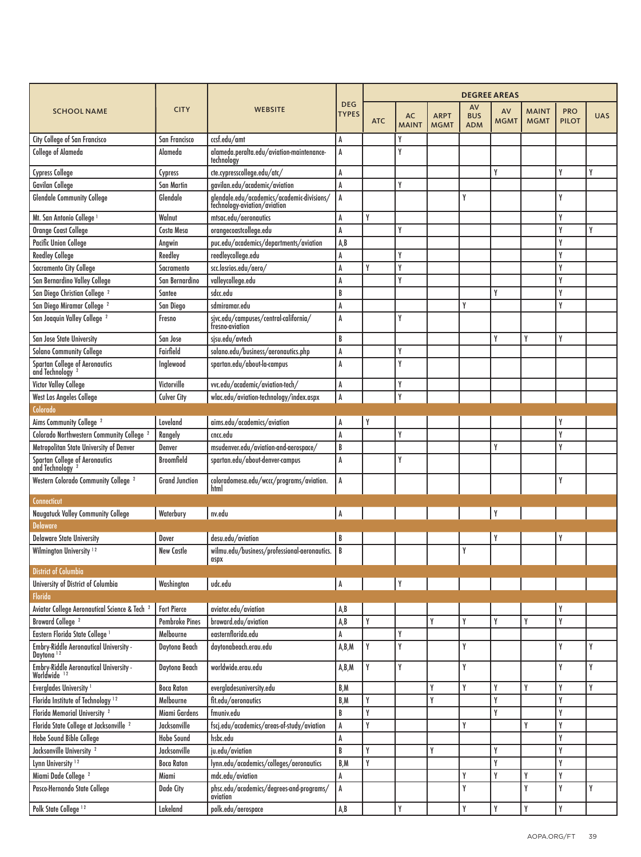|                                                                        |                       | <b>WEBSITE</b>                                                             | <b>DEG</b><br><b>TYPES</b> | <b>DEGREE AREAS</b> |                    |                            |                                |                   |                             |                            |            |  |
|------------------------------------------------------------------------|-----------------------|----------------------------------------------------------------------------|----------------------------|---------------------|--------------------|----------------------------|--------------------------------|-------------------|-----------------------------|----------------------------|------------|--|
| <b>SCHOOL NAME</b>                                                     | <b>CITY</b>           |                                                                            |                            | <b>ATC</b>          | AC<br><b>MAINT</b> | <b>ARPT</b><br><b>MGMT</b> | AV<br><b>BUS</b><br><b>ADM</b> | AV<br><b>MGMT</b> | <b>MAINT</b><br><b>MGMT</b> | <b>PRO</b><br><b>PILOT</b> | <b>UAS</b> |  |
| <b>City College of San Francisco</b>                                   | San Francisco         | ccsf.edu/amt                                                               | A                          |                     | γ                  |                            |                                |                   |                             |                            |            |  |
| <b>College of Alameda</b>                                              | Alameda               | alameda.peralta.edu/aviation-maintenance-<br>technology                    | A                          |                     | γ                  |                            |                                |                   |                             |                            |            |  |
| <b>Cypress College</b>                                                 | Cypress               | cte.cypresscollege.edu/atc/                                                | A                          |                     |                    |                            |                                | Y                 |                             | γ                          | γ          |  |
| Gavilan College                                                        | <b>San Martin</b>     | gavilan.edu/academic/aviation                                              | A                          |                     | γ                  |                            |                                |                   |                             |                            |            |  |
| <b>Glendale Community College</b>                                      | Glendale              | glendale.edu/academics/academic-divisions/<br>fechnology-aviation/aviation | A                          |                     |                    |                            | Y                              |                   |                             | γ                          |            |  |
| Mt. San Antonio College <sup>1</sup>                                   | Walnut                | mtsac.edu/aeronautics                                                      | A                          | Y                   |                    |                            |                                |                   |                             | Y                          |            |  |
| Orange Coast College                                                   | <b>Costa Mesa</b>     | orangecoastcollege.edu                                                     | A                          |                     | γ                  |                            |                                |                   |                             | γ                          | γ          |  |
| <b>Pacific Union College</b>                                           | Angwin                | puc.edu/academics/departments/aviation                                     | A,B                        |                     |                    |                            |                                |                   |                             | γ                          |            |  |
| <b>Reedley College</b>                                                 | Reedley               | reedleycollege.edu                                                         | A                          |                     | γ                  |                            |                                |                   |                             | γ                          |            |  |
| <b>Sacramento City College</b>                                         | Sacramento            | scc.losrios.edu/aero/                                                      | A                          | Υ                   | γ                  |                            |                                |                   |                             | γ                          |            |  |
| San Bernardino Valley College                                          | San Bernardino        | valleycollege.edu                                                          | A                          |                     | γ                  |                            |                                |                   |                             | γ                          |            |  |
| San Diego Christian College <sup>2</sup>                               | Santee                | sdcc.edu                                                                   | B                          |                     |                    |                            |                                | Y                 |                             | Y                          |            |  |
| San Diego Miramar College <sup>2</sup>                                 | San Diego             | sdmiramar.edu                                                              | A                          |                     |                    |                            | Y                              |                   |                             | Y                          |            |  |
| San Joaquin Valley College <sup>2</sup>                                | Fresno                | sjvc.edu/campuses/central-california/<br>fresno-aviation                   | A                          |                     | γ                  |                            |                                |                   |                             |                            |            |  |
| San Jose State University                                              | San Jose              | sjsv.edv/avtech                                                            | B                          |                     |                    |                            |                                | Y                 | γ                           | Y                          |            |  |
| <b>Solano Community College</b>                                        | Fairfield             | solano.edu/business/aeronautics.php                                        | A                          |                     | γ                  |                            |                                |                   |                             |                            |            |  |
| Spartan College of Aeronautics<br>and Technology <sup>2</sup>          | Inglewood             | spartan.edu/about-la-campus                                                | A                          |                     | γ                  |                            |                                |                   |                             |                            |            |  |
| Victor Valley College                                                  | Victorville           | vvc.edu/academic/aviation-tech/                                            | A                          |                     | γ                  |                            |                                |                   |                             |                            |            |  |
| <b>West Los Angeles College</b>                                        | <b>Culver City</b>    | wlac.edu/aviation-technology/index.aspx                                    | A                          |                     | Y                  |                            |                                |                   |                             |                            |            |  |
| Colorado                                                               |                       |                                                                            |                            |                     |                    |                            |                                |                   |                             |                            |            |  |
| Aims Community College <sup>2</sup>                                    | Loveland              | aims.edu/academics/aviation                                                | A                          | Y                   |                    |                            |                                |                   |                             |                            |            |  |
| Colorado Northwestern Community College <sup>2</sup>                   | Rangely               | cncc.edu                                                                   | A                          |                     | γ                  |                            |                                |                   |                             | γ                          |            |  |
| Metropolitan State University of Denver                                | Denver                | msudenver.edu/aviation-and-aerospace/                                      | B                          |                     |                    |                            |                                | Y                 |                             | Y                          |            |  |
| Spartan College of Aeronautics<br>and Technology <sup>2</sup>          | <b>Broomfield</b>     | spartan.edu/about-denver-campus                                            | A                          |                     | Y                  |                            |                                |                   |                             |                            |            |  |
| Western Colorado Community College <sup>2</sup>                        | <b>Grand Junction</b> | coloradomesa.edu/wccc/programs/aviation.<br>html                           | A                          |                     |                    |                            |                                |                   |                             | γ                          |            |  |
| <b>Connecticut</b>                                                     |                       |                                                                            |                            |                     |                    |                            |                                |                   |                             |                            |            |  |
| <b>Naugatuck Valley Community College</b>                              | Waterbury             | nv.edu                                                                     | A                          |                     |                    |                            |                                | Y                 |                             |                            |            |  |
| <b>Delaware</b>                                                        |                       |                                                                            |                            |                     |                    |                            |                                |                   |                             |                            |            |  |
| <b>Delaware State University</b>                                       | Dover                 | desu.edu/aviation                                                          | B                          |                     |                    |                            |                                | Y                 |                             |                            |            |  |
| Wilmington University <sup>12</sup>                                    | <b>New Castle</b>     | wilmu.edu/business/professional-aeronautics.<br>aspx                       | l B                        |                     |                    |                            | Y                              |                   |                             |                            |            |  |
| <b>District of Columbia</b>                                            |                       |                                                                            |                            |                     |                    |                            |                                |                   |                             |                            |            |  |
| University of District of Columbia<br>Florida                          | Washington            | udc.edu                                                                    | A                          |                     | Υ                  |                            |                                |                   |                             |                            |            |  |
| Aviator College Aeronautical Science & Tech <sup>2</sup>               | <b>Fort Pierce</b>    | aviator.edu/aviation                                                       | A, B                       |                     |                    |                            |                                |                   |                             | Y                          |            |  |
| Broward College <sup>2</sup>                                           | <b>Pembroke Pines</b> | broward.edu/aviation                                                       | A, B                       | Y                   |                    | Y                          | Y                              | Y                 | γ                           | Y                          |            |  |
| Eastern Florida State College <sup>1</sup>                             | Melbourne             | easternflorida.edu                                                         | A                          |                     | Υ                  |                            |                                |                   |                             |                            |            |  |
| <b>Embry-Riddle Aeronautical University -</b><br>Daytona <sup>12</sup> | Daytona Beach         | daytonabeach.erau.edu                                                      | A,B,M                      | Y                   | Υ                  |                            | Y                              |                   |                             | Y                          | Y          |  |
| Embry-Riddle Aeronautical University -<br>Worldwide 12                 | Daytona Beach         | worldwide.erau.edu                                                         | A,B,M                      | Y                   | Y                  |                            | Y                              |                   |                             | Y                          | Y          |  |
| Everglades University <sup>1</sup>                                     | <b>Boca Raton</b>     | evergladesuniversity.edu                                                   | B,M                        |                     |                    | Y                          | Y                              | Y                 | Y                           | Y                          | Y          |  |
| Florida Institute of Technology <sup>12</sup>                          | Melbourne             | fit.edu/aeronautics                                                        | B,M                        | Y                   |                    | Y                          |                                | Y                 |                             | Y                          |            |  |
| Florida Memorial University <sup>2</sup>                               | Miami Gardens         | fmuniv.edu                                                                 | B                          | Y                   |                    |                            |                                | Y                 |                             | Y                          |            |  |
| Florida State College at Jacksonville <sup>2</sup>                     | Jacksonville          | fscj.edu/academics/areas-of-study/aviation                                 | A                          | Y                   |                    |                            | Y                              |                   | γ                           | Y                          |            |  |
| <b>Hobe Sound Bible College</b>                                        | <b>Hobe Sound</b>     | hsbc.edu                                                                   | A                          |                     |                    |                            |                                |                   |                             | Y                          |            |  |
| Jacksonville University <sup>2</sup>                                   | Jacksonville          | ju.edu/aviation                                                            | B                          | Y                   |                    | Υ                          |                                | Y                 |                             | Y                          |            |  |
| Lynn University <sup>12</sup>                                          | <b>Boca Raton</b>     | lynn.edu/academics/colleges/aeronautics                                    | B,M                        | Y                   |                    |                            |                                | Y                 |                             | Y                          |            |  |
| Miami Dade College <sup>2</sup>                                        | Miami                 | mdc.edu/aviation                                                           | A                          |                     |                    |                            | Y                              | Y                 | Υ                           | Y                          |            |  |
| Pasco-Hernando State College                                           | Dade City             | phsc.edu/academics/degrees-and-programs/<br>aviation                       | A                          |                     |                    |                            | Y                              |                   | Υ                           | Y                          | Y          |  |
| Polk State College <sup>12</sup>                                       | Lakeland              | polk.edu/aerospace                                                         | $\mathtt{A},\mathtt{B}$    |                     | γ                  |                            | Y                              | Y                 | γ                           | Y                          |            |  |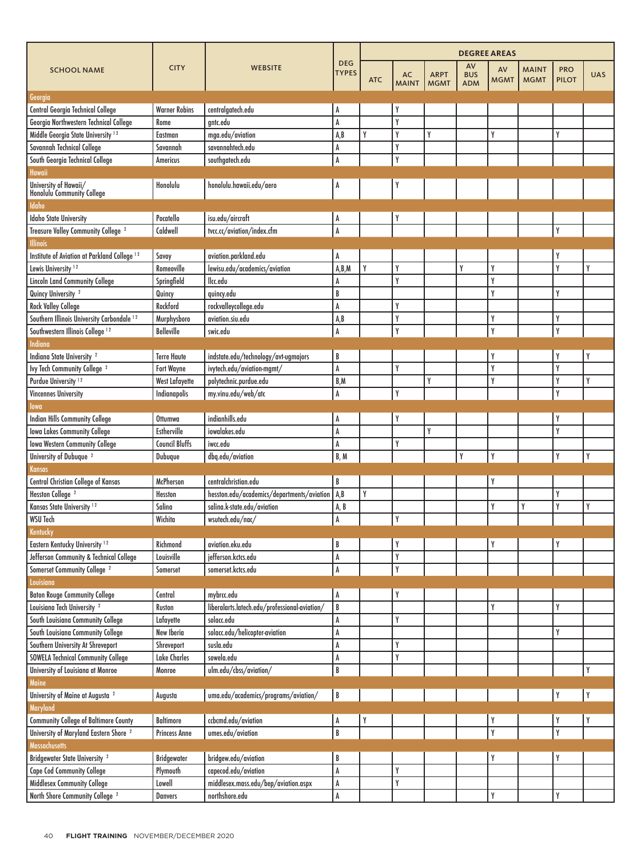|                                                         | <b>CITY</b><br><b>WEBSITE</b><br><b>SCHOOL NAME</b> |                                               |                            | <b>DEGREE AREAS</b> |                    |                            |                                |                         |                             |                            |             |  |
|---------------------------------------------------------|-----------------------------------------------------|-----------------------------------------------|----------------------------|---------------------|--------------------|----------------------------|--------------------------------|-------------------------|-----------------------------|----------------------------|-------------|--|
|                                                         |                                                     |                                               | <b>DEG</b><br><b>TYPES</b> | <b>ATC</b>          | AC<br><b>MAINT</b> | <b>ARPT</b><br><b>MGMT</b> | AV<br><b>BUS</b><br><b>ADM</b> | AV<br><b>MGMT</b>       | <b>MAINT</b><br><b>MGMT</b> | <b>PRO</b><br><b>PILOT</b> | <b>UAS</b>  |  |
| Georgia                                                 |                                                     |                                               |                            |                     |                    |                            |                                |                         |                             |                            |             |  |
| Central Georgia Technical College                       | <b>Warner Robins</b>                                | centralgatech.edu                             | A                          |                     | γ                  |                            |                                |                         |                             |                            |             |  |
| Georgia Northwestern Technical College                  | Rome                                                | antc.edu                                      | A                          |                     | γ                  |                            |                                |                         |                             |                            |             |  |
| Middle Georgia State University <sup>12</sup>           | Eastman                                             | mga.edu/aviation                              | A, B                       | γ                   | γ                  | Y                          |                                | Y                       |                             | Y                          |             |  |
| Savannah Technical College                              | Savannah                                            | savannahtech.edu                              | A                          |                     | γ                  |                            |                                |                         |                             |                            |             |  |
| South Georgia Technical College                         | Americus                                            | southgatech.edu                               | $\pmb{\mathsf{A}}$         |                     | V                  |                            |                                |                         |                             |                            |             |  |
| Hawaii                                                  |                                                     |                                               |                            |                     |                    |                            |                                |                         |                             |                            |             |  |
| University of Hawaii/<br>Honolulu Community College     | Honolulu                                            | honolulu.hawaii.edu/aero                      | A                          |                     |                    |                            |                                |                         |                             |                            |             |  |
| <b>Idaho</b>                                            |                                                     |                                               |                            |                     |                    |                            |                                |                         |                             |                            |             |  |
| <b>Idaho State University</b>                           | Pocatello                                           | isu.edu/aircraft                              | A                          |                     |                    |                            |                                |                         |                             |                            |             |  |
| Treasure Valley Community College <sup>2</sup>          | Caldwell                                            | tvcc.cc/aviation/index.cfm                    | $\overline{A}$             |                     |                    |                            |                                |                         |                             | Y                          |             |  |
| <b>Illinois</b>                                         |                                                     |                                               |                            |                     |                    |                            |                                |                         |                             |                            |             |  |
| Institute of Aviation at Parkland College <sup>12</sup> | Savoy                                               | aviation.parkland.edu                         | A                          |                     |                    |                            |                                |                         |                             | Y                          |             |  |
| Lewis University <sup>12</sup>                          | Romeoville                                          | lewisu.edu/academics/aviation                 | A,B,M                      | Y                   | γ                  |                            | Y                              | Y                       |                             | Y                          | γ           |  |
| <b>Lincoln Land Community College</b>                   | Springfield                                         | llcc.edu                                      | A                          |                     | γ                  |                            |                                | Y                       |                             |                            |             |  |
| Quincy University <sup>2</sup>                          | Quincy                                              | quincy.edu                                    | B                          |                     |                    |                            |                                | Y                       |                             | Y                          |             |  |
| <b>Rock Valley College</b>                              | Rockford                                            | rockvalleycollege.edu                         | A                          |                     | γ                  |                            |                                |                         |                             |                            |             |  |
| Southern Illinois University Carbondale <sup>12</sup>   | Murphysboro                                         | aviation.siu.edu                              | A, B                       |                     | γ                  |                            |                                | Y                       |                             | Y                          |             |  |
| Southwestern Illinois College <sup>12</sup>             | <b>Belleville</b>                                   | swic.edu                                      | $\mathsf{A}$               |                     | Y                  |                            |                                | Y                       |                             | Y                          |             |  |
| Indiana                                                 |                                                     |                                               |                            |                     |                    |                            |                                |                         |                             |                            |             |  |
| Indiana State University <sup>2</sup>                   | <b>Terre Haute</b>                                  | indstate.edu/technology/avt-ugmajors          | B                          |                     |                    |                            |                                | Y                       |                             | Y                          | Y           |  |
| Ivy Tech Community College <sup>2</sup>                 | <b>Fort Wayne</b>                                   | ivytech.edu/aviation-mgmt/                    | $\mathsf{A}$               |                     | γ                  |                            |                                | Y                       |                             | Y                          |             |  |
| Purdue University <sup>12</sup>                         | <b>West Lafayette</b>                               | polytechnic.purdue.edu                        | B,M                        |                     |                    | Y                          |                                | Y                       |                             | Y                          | γ           |  |
| <b>Vincennes University</b>                             | Indianapolis                                        | my.vinu.edu/web/atc                           | A                          |                     | γ                  |                            |                                |                         |                             | Y                          |             |  |
| lowa                                                    |                                                     |                                               |                            |                     |                    |                            |                                |                         |                             |                            |             |  |
| <b>Indian Hills Community College</b>                   | Ottumwa                                             | indianhills.edu                               | A                          |                     |                    |                            |                                |                         |                             | Y                          |             |  |
| <b>Iowa Lakes Community College</b>                     | <b>Estherville</b>                                  | iowalakes.edu                                 | A                          |                     |                    | Y                          |                                |                         |                             | Y                          |             |  |
| <b>Iowa Western Community College</b>                   | <b>Council Bluffs</b>                               | iwcc.edu                                      | A                          |                     | γ                  |                            |                                |                         |                             |                            |             |  |
| University of Dubuque <sup>2</sup>                      | Dubuque                                             | dbq.edu/aviation                              | B.M                        |                     |                    |                            | Y                              | Y                       |                             | Y                          | Y           |  |
| Kansas                                                  |                                                     |                                               |                            |                     |                    |                            |                                |                         |                             |                            |             |  |
| <b>Central Christian College of Kansas</b>              | McPherson                                           | centralchristian.edu                          | B                          |                     |                    |                            |                                |                         |                             |                            |             |  |
| Hesston College <sup>2</sup>                            | Hesston                                             | hesston.edu/academics/departments/aviation    | A,B                        | γ                   |                    |                            |                                |                         |                             | Y                          |             |  |
| Kansas State University <sup>12</sup>                   | Salina                                              | salina.k-state.edu/aviation                   |                            |                     |                    |                            |                                | Y                       | γ                           | Y                          | γ           |  |
| <b>WSU Tech</b>                                         | Wichita                                             |                                               | A, B<br>A                  |                     | V                  |                            |                                |                         |                             |                            |             |  |
| Kentucky                                                |                                                     | /wsutech.edu/nac                              |                            |                     |                    |                            |                                |                         |                             |                            |             |  |
|                                                         | Richmond                                            | aviation.eku.edu                              | B                          |                     |                    |                            |                                |                         |                             | Y                          |             |  |
| Eastern Kentucky University <sup>12</sup>               |                                                     |                                               |                            |                     |                    |                            |                                |                         |                             |                            |             |  |
| Jefferson Community & Technical College                 | Louisville                                          | jefferson.kctcs.edu                           | A                          |                     | Y                  |                            |                                |                         |                             |                            |             |  |
| Somerset Community College <sup>2</sup>                 | Somerset                                            | somerset.kctcs.edu                            | $\pmb{\mathsf{A}}$         |                     | Y                  |                            |                                |                         |                             |                            |             |  |
| Louisiana                                               |                                                     |                                               |                            |                     |                    |                            |                                |                         |                             |                            |             |  |
| <b>Baton Rouge Community College</b>                    | Central                                             | mybrcc.edu                                    | A                          |                     | Y                  |                            |                                |                         |                             |                            |             |  |
| Louisiana Tech University <sup>2</sup>                  | Ruston                                              | liberalarts.latech.edu/professional-aviation/ | B                          |                     |                    |                            |                                | Y                       |                             | Y                          |             |  |
| South Louisiana Community College                       | Lafayette                                           | solacc.edu                                    | $\pmb{\mathsf{A}}$         |                     | Υ                  |                            |                                |                         |                             |                            |             |  |
| South Louisiana Community College                       | New Iberia                                          | solacc.edu/helicopter-aviation                | A                          |                     |                    |                            |                                |                         |                             | Y                          |             |  |
| Southern University At Shreveport                       | Shreveport                                          | susla.edu                                     | A                          |                     | Υ                  |                            |                                |                         |                             |                            |             |  |
| <b>SOWELA Technical Community College</b>               | <b>Lake Charles</b>                                 | sowela.edu                                    | A                          |                     | Υ                  |                            |                                |                         |                             |                            |             |  |
| University of Louisiana at Monroe                       | Monroe                                              | ulm.edu/cbss/aviation/                        | B                          |                     |                    |                            |                                |                         |                             |                            | Y           |  |
| Maine                                                   |                                                     |                                               |                            |                     |                    |                            |                                |                         |                             |                            |             |  |
| University of Maine at Augusta <sup>2</sup>             | Augusta                                             | uma.edu/academics/programs/aviation/          | B                          |                     |                    |                            |                                |                         |                             | Y                          | $\mathsf Y$ |  |
| Maryland                                                |                                                     |                                               |                            |                     |                    |                            |                                |                         |                             |                            |             |  |
| <b>Community College of Baltimore County</b>            | <b>Baltimore</b>                                    | ccbcmd.edu/aviation                           | A                          |                     |                    |                            |                                | Y                       |                             | Y                          | Y           |  |
| University of Maryland Eastern Shore <sup>2</sup>       | <b>Princess Anne</b>                                | umes.edu/aviation                             | $\overline{\mathsf{B}}$    |                     |                    |                            |                                | $\overline{\mathbf{Y}}$ |                             | $\overline{Y}$             |             |  |
| Massachusetts                                           |                                                     |                                               |                            |                     |                    |                            |                                |                         |                             |                            |             |  |
| Bridgewater State University <sup>2</sup>               | <b>Bridgewater</b>                                  | bridgew.edu/aviation                          | B                          |                     |                    |                            |                                | Y                       |                             | Y                          |             |  |
| <b>Cape Cod Community College</b>                       | Plymouth                                            | capecod.edu/aviation                          | $\pmb{\mathsf{A}}$         |                     | γ                  |                            |                                |                         |                             |                            |             |  |
| <b>Middlesex Community College</b>                      | Lowell                                              | middlesex.mass.edu/bep/aviation.aspx          | A                          |                     | Y                  |                            |                                |                         |                             |                            |             |  |
| North Shore Community College <sup>2</sup>              | <b>Danvers</b>                                      | northshore.edu                                | $\pmb{\mathsf{A}}$         |                     |                    |                            |                                | Y                       |                             | Y                          |             |  |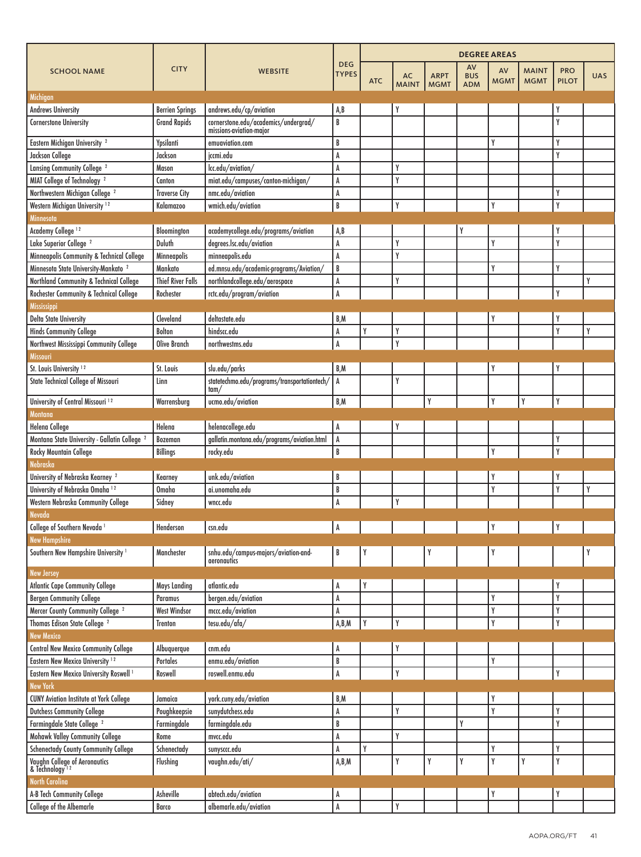|                                                               |                          | <b>WEBSITE</b>                                                  |                            | <b>DEGREE AREAS</b> |                           |                            |                                |                   |                             |                            |            |
|---------------------------------------------------------------|--------------------------|-----------------------------------------------------------------|----------------------------|---------------------|---------------------------|----------------------------|--------------------------------|-------------------|-----------------------------|----------------------------|------------|
| <b>SCHOOL NAME</b>                                            | <b>CITY</b>              |                                                                 | <b>DEG</b><br><b>TYPES</b> | <b>ATC</b>          | <b>AC</b><br><b>MAINT</b> | <b>ARPT</b><br><b>MGMT</b> | AV<br><b>BUS</b><br><b>ADM</b> | AV<br><b>MGMT</b> | <b>MAINT</b><br><b>MGMT</b> | <b>PRO</b><br><b>PILOT</b> | <b>UAS</b> |
| Michigan                                                      |                          |                                                                 |                            |                     |                           |                            |                                |                   |                             |                            |            |
| Andrews University                                            | <b>Berrien Springs</b>   | andrews.edu/cp/aviation                                         | A,B                        |                     | Y                         |                            |                                |                   |                             | Y                          |            |
| <b>Cornerstone University</b>                                 | <b>Grand Rapids</b>      | cornerstone.edu/academics/undergrad/<br>missions-aviation-major | B                          |                     |                           |                            |                                |                   |                             | Y                          |            |
| Eastern Michigan University <sup>2</sup>                      | Ypsilanti                | emuaviation.com                                                 | B                          |                     |                           |                            |                                | Y                 |                             | Y                          |            |
| Jackson College                                               | Jackson                  | jccmi.edu                                                       | A                          |                     |                           |                            |                                |                   |                             | Y                          |            |
| Lansing Community College <sup>2</sup>                        | Mason                    | lcc.edu/aviation/                                               | A                          |                     | γ                         |                            |                                |                   |                             |                            |            |
| MIAT College of Technology <sup>2</sup>                       | Canton                   | miat.edu/campuses/canton-michigan/                              | A                          |                     | Y                         |                            |                                |                   |                             |                            |            |
| Northwestern Michigan College <sup>2</sup>                    | <b>Traverse City</b>     | nmc.edu/aviation                                                | A                          |                     |                           |                            |                                |                   |                             | Y                          |            |
| Western Michigan University <sup>12</sup>                     | Kalamazoo                | wmich.edu/aviation                                              | B                          |                     | Y                         |                            |                                | Y                 |                             | Y                          |            |
| Minnesota                                                     |                          |                                                                 |                            |                     |                           |                            |                                |                   |                             |                            |            |
| Academy College <sup>12</sup>                                 | Bloomington              | academycollege.edu/programs/aviation                            | A, B                       |                     |                           |                            | Y                              |                   |                             | Y                          |            |
| Lake Superior College <sup>2</sup>                            | Duluth                   | degrees.lsc.edu/aviation                                        | A                          |                     | Y                         |                            |                                | Y                 |                             | Y                          |            |
| Minneapolis Community & Technical College                     | Minneapolis              | minneapolis.edu                                                 | A                          |                     | Y                         |                            |                                |                   |                             |                            |            |
| Minnesota State University-Mankato <sup>2</sup>               | Mankato                  | ed.mnsu.edu/academic-programs/Aviation/                         | B                          |                     |                           |                            |                                | Y                 |                             | Y                          |            |
| Northland Community & Technical College                       | <b>Thief River Falls</b> | northlandcollege.edu/aerospace                                  | A                          |                     | Y                         |                            |                                |                   |                             |                            | γ          |
| Rochester Community & Technical College                       | Rochester                | rctc.edu/program/aviation                                       | A                          |                     |                           |                            |                                |                   |                             | Y                          |            |
| Mississippi                                                   |                          |                                                                 |                            |                     |                           |                            |                                |                   |                             |                            |            |
| <b>Delta State University</b>                                 | Cleveland                | deltastate.edu                                                  | B,M                        |                     |                           |                            |                                | Y                 |                             | Y                          |            |
| <b>Hinds Community College</b>                                | <b>Bolton</b>            | hindscc.edu                                                     | A                          | Y                   | Y                         |                            |                                |                   |                             | Y                          |            |
| Northwest Mississippi Community College                       | <b>Olive Branch</b>      | northwestms.edu                                                 | A                          |                     | γ                         |                            |                                |                   |                             |                            |            |
|                                                               |                          |                                                                 |                            |                     |                           |                            |                                |                   |                             |                            |            |
| <b>Missouri</b>                                               |                          |                                                                 |                            |                     |                           |                            |                                |                   |                             |                            |            |
| St. Louis University <sup>12</sup>                            | St. Louis                | slu.edu/parks                                                   | B,M                        |                     |                           |                            |                                |                   |                             | Y                          |            |
| State Technical College of Missouri                           | Linn                     | statetechmo.edu/programs/transportationtech/<br>tam/            | A                          |                     | Y                         |                            |                                |                   |                             |                            |            |
| University of Central Missouri <sup>12</sup>                  | Warrensburg              | ucmo.edu/aviation                                               | B,M                        |                     |                           | Y                          |                                | Y                 | Y                           | Y                          |            |
| Montana                                                       |                          |                                                                 |                            |                     |                           |                            |                                |                   |                             |                            |            |
| <b>Helena College</b>                                         | Helena                   | helenacollege.edu                                               | A                          |                     | Y                         |                            |                                |                   |                             |                            |            |
| Montana State University - Gallatin College <sup>2</sup>      | Bozeman                  | gallatin.montana.edu/programs/aviation.html                     | A                          |                     |                           |                            |                                |                   |                             | Y                          |            |
| <b>Rocky Mountain College</b>                                 | <b>Billings</b>          | rocky.edu                                                       | B                          |                     |                           |                            |                                | Y                 |                             | Y                          |            |
| Nebraska                                                      |                          |                                                                 |                            |                     |                           |                            |                                |                   |                             |                            |            |
| University of Nebraska Kearney <sup>2</sup>                   | Kearney                  | unk.edu/aviation                                                | B                          |                     |                           |                            |                                | Y                 |                             | Y                          |            |
| University of Nebraska Omaha 12                               | Omaha                    | ai.unomaha.edu                                                  | B                          |                     |                           |                            |                                | Y                 |                             | Y                          | γ          |
| Western Nebraska Community College<br><b>Nevada</b>           | Sidney                   | wncc.edu                                                        | A                          |                     | Y                         |                            |                                |                   |                             |                            |            |
| College of Southern Nevada <sup>1</sup>                       | Henderson                | csn.edu                                                         | A                          |                     |                           |                            |                                | Y                 |                             | Y                          |            |
| <b>New Hampshire</b>                                          |                          |                                                                 |                            |                     |                           |                            |                                |                   |                             |                            |            |
| Southern New Hampshire University <sup>1</sup>                | Manchester               | snhu.edu/campus-majors/aviation-and-<br>aeronautics             | B                          |                     |                           |                            |                                |                   |                             |                            |            |
| <b>New Jersey</b>                                             |                          |                                                                 |                            |                     |                           |                            |                                |                   |                             |                            |            |
| <b>Atlantic Cape Community College</b>                        | <b>Mays Landing</b>      | atlantic.edu                                                    | A                          | Y                   |                           |                            |                                |                   |                             | Y                          |            |
| <b>Bergen Community College</b>                               | Paramus                  | bergen.edu/aviation                                             | A                          |                     |                           |                            |                                | Y                 |                             | Y                          |            |
| Mercer County Community College <sup>2</sup>                  | <b>West Windsor</b>      | mccc.edu/aviation                                               | A                          |                     |                           |                            |                                | Y                 |                             | Y                          |            |
| Thomas Edison State College <sup>2</sup><br><b>New Mexico</b> | <b>Trenton</b>           | tesu.edu/afa/                                                   | A,B,M                      | Y                   | Y                         |                            |                                | Y                 |                             | Y                          |            |
| <b>Central New Mexico Community College</b>                   | Albuquerque              | cnm.edu                                                         | A                          |                     | Y                         |                            |                                |                   |                             |                            |            |
| Eastern New Mexico University <sup>12</sup>                   | Portales                 | enmu.edu/aviation                                               | B                          |                     |                           |                            |                                | Y                 |                             |                            |            |
| Eastern New Mexico University Roswell <sup>1</sup>            | Roswell                  | roswell.enmu.edu                                                | A                          |                     | Y                         |                            |                                |                   |                             | Y                          |            |
| <b>New York</b>                                               |                          |                                                                 |                            |                     |                           |                            |                                |                   |                             |                            |            |
| <b>CUNY Aviation Institute at York College</b>                | Jamaica                  | york.cuny.edu/aviation                                          | B,M                        |                     |                           |                            |                                | Y                 |                             |                            |            |
| <b>Dutchess Community College</b>                             | Poughkeepsie             | sunydutchess.edu                                                | A                          |                     | Y                         |                            |                                | Y                 |                             | Y                          |            |
| Farmingdale State College <sup>2</sup>                        | Farmingdale              | farmingdale.edu                                                 | B                          |                     |                           |                            | Y                              |                   |                             | Y                          |            |
| Mohawk Valley Community College                               | Rome                     | $m$ vcc.edu                                                     | A                          |                     | Y                         |                            |                                |                   |                             |                            |            |
| <b>Schenectady County Community College</b>                   | Schenectady              | sunysccc.edu                                                    | A                          | Y                   |                           |                            |                                | Y                 |                             | Y                          |            |
|                                                               | Flushing                 | vaughn.edu/ati/                                                 | A,B,M                      |                     | Y                         | Y                          | Y                              | Y                 | Υ                           | Y                          |            |
| Vaughn College of Aeronautics<br>& Technology <sup>12</sup>   |                          |                                                                 |                            |                     |                           |                            |                                |                   |                             |                            |            |
| <b>North Carolina</b><br>A-B Tech Community College           | Asheville                | abtech.edu/aviation                                             |                            |                     |                           |                            |                                |                   |                             | Y                          |            |
|                                                               |                          |                                                                 | A                          |                     | Y                         |                            |                                |                   |                             |                            |            |
| College of the Albemarle                                      | Barco                    | albemarle.edu/aviation                                          | A                          |                     |                           |                            |                                |                   |                             |                            |            |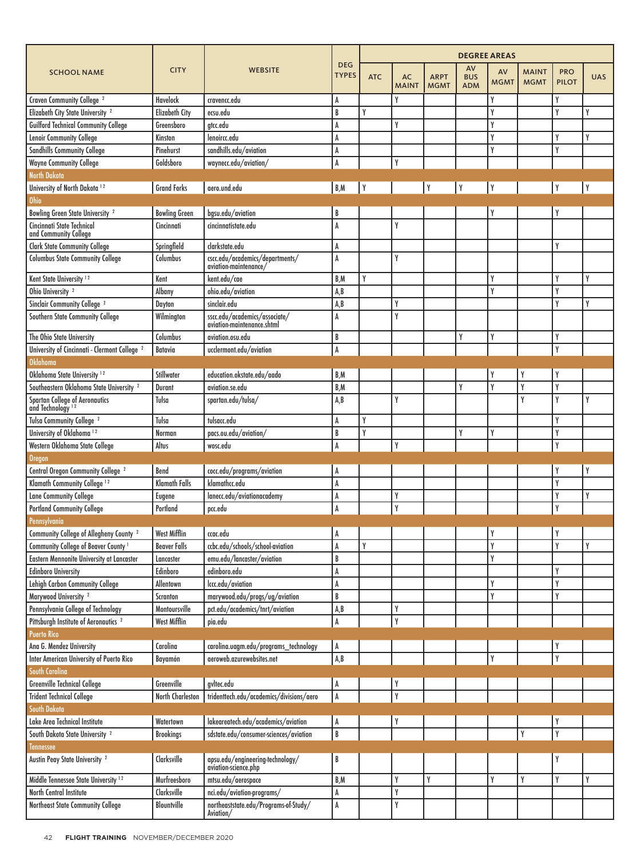|                                                                       |                       | <b>WEBSITE</b>                                              |                            |            |                           |                            |                                |                   |                             |                            |            |
|-----------------------------------------------------------------------|-----------------------|-------------------------------------------------------------|----------------------------|------------|---------------------------|----------------------------|--------------------------------|-------------------|-----------------------------|----------------------------|------------|
| <b>SCHOOL NAME</b>                                                    | <b>CITY</b>           |                                                             | <b>DEG</b><br><b>TYPES</b> | <b>ATC</b> | <b>AC</b><br><b>MAINT</b> | <b>ARPT</b><br><b>MGMT</b> | AV<br><b>BUS</b><br><b>ADM</b> | AV<br><b>MGMT</b> | <b>MAINT</b><br><b>MGMT</b> | <b>PRO</b><br><b>PILOT</b> | <b>UAS</b> |
| Craven Community College <sup>2</sup>                                 | <b>Havelock</b>       | cravencc.edu                                                | A                          |            | γ                         |                            |                                |                   |                             | γ                          |            |
| Elizabeth City State University <sup>2</sup>                          | <b>Elizabeth City</b> | ecsu.edu                                                    | B                          | Y          |                           |                            |                                | γ                 |                             | γ                          | γ          |
| <b>Guilford Technical Community College</b>                           | Greensboro            | gtcc.edu                                                    | A                          |            | γ                         |                            |                                | γ                 |                             |                            |            |
| Lenoir Community College                                              | Kinston               | lenoircc.edu                                                | A                          |            |                           |                            |                                | γ                 |                             | γ                          | γ          |
| <b>Sandhills Community College</b>                                    | Pinehurst             | sandhills.edu/aviation                                      | A                          |            |                           |                            |                                | Y                 |                             | Y                          |            |
| <b>Wayne Community College</b>                                        | Goldsboro             | waynecc.edu/aviation/                                       | A                          |            | γ                         |                            |                                |                   |                             |                            |            |
| <b>North Dakota</b>                                                   |                       |                                                             |                            |            |                           |                            |                                |                   |                             |                            |            |
| University of North Dakota 12                                         | <b>Grand Forks</b>    | aero.und.edu                                                | B, M                       |            |                           | Y                          | Y                              | Y                 |                             |                            |            |
| <b>Ohio</b>                                                           |                       |                                                             |                            |            |                           |                            |                                |                   |                             |                            |            |
| <b>Bowling Green State University 2</b>                               | <b>Bowling Green</b>  | bgsv.edv/aviation                                           | B                          |            |                           |                            |                                |                   |                             |                            |            |
| Cincinnati State Technical<br>and Community College                   | Cincinnati            | cincinnatistate.edu                                         | A                          |            | γ                         |                            |                                |                   |                             |                            |            |
| <b>Clark State Community College</b>                                  | Springfield           | clarkstate.edu                                              | A                          |            |                           |                            |                                |                   |                             | γ                          |            |
| <b>Columbus State Community College</b>                               | Columbus              | cscc.edu/academics/departments/<br>aviation-maintenance     | A                          |            | γ                         |                            |                                |                   |                             |                            |            |
| Kent State University <sup>12</sup>                                   | Kent                  | kent.edu/cae                                                | B,M                        | γ          |                           |                            |                                | Y                 |                             | Y                          | γ          |
| Ohio University <sup>2</sup>                                          | Albany                | ohio.edu/aviation                                           | A, B                       |            |                           |                            |                                | γ                 |                             | Y                          |            |
| Sinclair Community College <sup>2</sup>                               | Dayton                | sinclair.edu                                                | A, B                       |            | γ                         |                            |                                |                   |                             | Y                          | γ          |
| Southern State Community College                                      | Wilmington            | sscc.edu/academics/associate/<br>aviation-maintenance.shtml | A                          |            | Υ                         |                            |                                |                   |                             |                            |            |
| The Ohio State University                                             | Columbus              | aviation.osu.edu                                            | B                          |            |                           |                            | Y                              | Y                 |                             | Y                          |            |
| University of Cincinnati - Clermont College <sup>2</sup>              | Batavia               | ucclermont.edu/aviation                                     | A                          |            |                           |                            |                                |                   |                             | Y                          |            |
| <b>Oklahoma</b>                                                       |                       |                                                             |                            |            |                           |                            |                                |                   |                             |                            |            |
| Oklahoma State University <sup>12</sup>                               | Stillwater            | education.okstate.edu/aado                                  | B,M                        |            |                           |                            |                                |                   |                             | Y                          |            |
| Southeastern Oklahoma State University <sup>2</sup>                   | <b>Durant</b>         | aviation.se.edu                                             | B,M                        |            |                           |                            | Y                              | γ                 | γ                           | Y                          |            |
| <b>Spartan College of Aeronautics</b><br>and Technology <sup>12</sup> | Tulsa                 | spartan.edu/tulsa/                                          | A, B                       |            | γ                         |                            |                                |                   | γ                           | Y                          | γ          |
| Tulsa Community College <sup>2</sup>                                  | Tulsa                 | tulsacc.edu                                                 | A                          | Υ          |                           |                            |                                |                   |                             | γ                          |            |
| University of Oklahoma <sup>12</sup>                                  | Norman                | pacs.ou.edu/aviation/                                       | B                          | γ          |                           |                            | Y                              | γ                 |                             | Y                          |            |
| Western Oklahoma State College                                        | Altus                 | wosc.edu                                                    | A                          |            | γ                         |                            |                                |                   |                             | Y                          |            |
| <b>Oregon</b>                                                         |                       |                                                             |                            |            |                           |                            |                                |                   |                             |                            |            |
| Central Oregon Community College <sup>2</sup>                         | Bend                  | cocc.edu/programs/aviation                                  | A                          |            |                           |                            |                                |                   |                             |                            |            |
| Klamath Community College <sup>12</sup>                               | <b>Klamath Falls</b>  | klamathcc.edu                                               | A                          |            |                           |                            |                                |                   |                             | Y                          |            |
| <b>Lane Community College</b>                                         | Eugene                | lanecc.edu/aviationacademy                                  | A                          |            | γ                         |                            |                                |                   |                             | γ                          | γ          |
| <b>Portland Community College</b>                                     | Portland              | pcc.edu                                                     | A                          |            | V                         |                            |                                |                   |                             | Y                          |            |
| Pennsylvania                                                          |                       |                                                             |                            |            |                           |                            |                                |                   |                             |                            |            |
| Community College of Allegheny County <sup>2</sup>                    | <b>West Mifflin</b>   | ccac.edu                                                    | A                          |            |                           |                            |                                | Y                 |                             | Y                          |            |
| Community College of Beaver County <sup>1</sup>                       | <b>Beaver Falls</b>   | ccbc.edu/schools/school-aviation                            | A                          | Y          |                           |                            |                                | Y                 |                             | Υ                          | Y          |
| Eastern Mennonite University at Lancaster                             | Lancaster             | emu.edu/lancaster/aviation                                  | B                          |            |                           |                            |                                | Y                 |                             |                            |            |
| <b>Edinboro University</b>                                            | Edinboro              | edinboro.edu                                                | A                          |            |                           |                            |                                |                   |                             | Y                          |            |
| Lehigh Carbon Community College                                       | Allentown             | lccc.edu/aviation                                           | A                          |            |                           |                            |                                | Y                 |                             | Y                          |            |
| Marywood University <sup>2</sup>                                      | Scranton              | marywood.edu/progs/ug/aviation                              | B                          |            |                           |                            |                                | Y                 |                             | Y                          |            |
| Pennsylvania College of Technology                                    | Montoursville         | pct.edu/academics/tnrt/aviation                             | A,B                        |            | γ                         |                            |                                |                   |                             |                            |            |
| Pittsburgh Institute of Aeronautics <sup>2</sup>                      | <b>West Mifflin</b>   | pia.edu                                                     | A                          |            | Y                         |                            |                                |                   |                             |                            |            |
| <b>Puerto Rico</b>                                                    |                       |                                                             |                            |            |                           |                            |                                |                   |                             |                            |            |
| Ana G. Mendez University                                              | Carolina              | carolina.uagm.edu/programs_technology                       | A                          |            |                           |                            |                                |                   |                             |                            |            |
| Inter American University of Puerto Rico<br>South Carolina            | Bayamón               | aeroweb.azurewebsites.net                                   | A, B                       |            |                           |                            |                                | Y                 |                             | Y                          |            |
| <b>Greenville Technical College</b>                                   | Greenville            | gvltec.edu                                                  | A                          |            |                           |                            |                                |                   |                             |                            |            |
| <b>Trident Technical College</b>                                      | North Charleston      | tridenttech.edu/academics/divisions/aero                    | $\,$ A                     |            | γ                         |                            |                                |                   |                             |                            |            |
| South Dakota                                                          |                       |                                                             |                            |            |                           |                            |                                |                   |                             |                            |            |
| Lake Area Technical Institute                                         | Watertown             | lakeareatech.edu/academics/aviation                         | A                          |            |                           |                            |                                |                   |                             |                            |            |
| South Dakota State University <sup>2</sup>                            | <b>Brookings</b>      | sdstate.edu/consumer-sciences/aviation                      | $\, {\bf B}$               |            |                           |                            |                                |                   | Y                           | Y                          |            |
| Tennessee                                                             |                       |                                                             |                            |            |                           |                            |                                |                   |                             |                            |            |
| Austin Peay State University <sup>2</sup>                             | Clarksville           | apsu.edu/engineering-technology/<br>aviation-science.php    | B                          |            |                           |                            |                                |                   |                             | Y                          |            |
| Middle Tennessee State University <sup>12</sup>                       | Murfreesboro          | mtsu.edu/aerospace                                          | B,M                        |            | Y                         | Y                          |                                | Y                 | Y                           | Y                          | Y          |
| North Central Institute                                               | Clarksville           | nci.edu/aviation-programs/                                  | A                          |            | Y                         |                            |                                |                   |                             |                            |            |
| Northeast State Community College                                     | Blountville           | northeaststate.edu/Programs-of-Study/<br>Aviation/          | A                          |            | γ                         |                            |                                |                   |                             |                            |            |